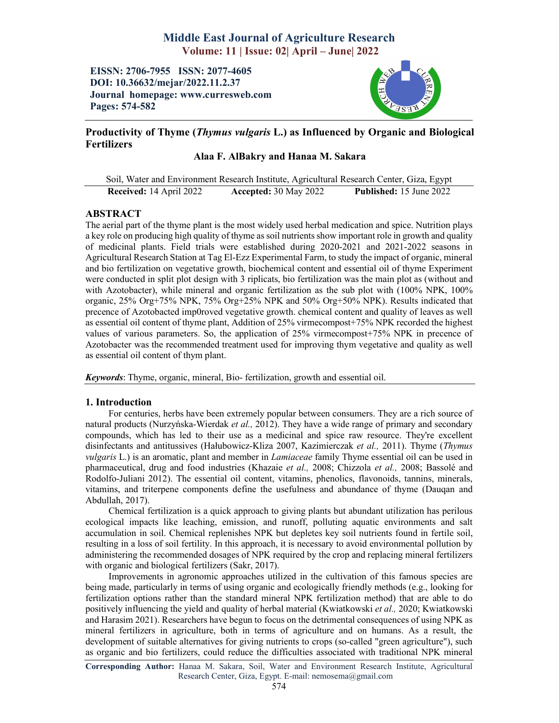# Middle East Journal of Agriculture Research Volume: 11 | Issue: 02| April – June| 2022

EISSN: 2706-7955 ISSN: 2077-4605 DOI: 10.36632/mejar/2022.11.2.37 Journal homepage: www.curresweb.com Pages: 574-582



# Productivity of Thyme (*Thymus vulgaris* L.) as Influenced by Organic and Biological **Fertilizers**

# Alaa F. AlBakry and Hanaa M. Sakara

Soil, Water and Environment Research Institute, Agricultural Research Center, Giza, Egypt Received: 14 April 2022 Accepted: 30 May 2022 Published: 15 June 2022

### ABSTRACT

The aerial part of the thyme plant is the most widely used herbal medication and spice. Nutrition plays a key role on producing high quality of thyme as soil nutrients show important role in growth and quality of medicinal plants. Field trials were established during 2020-2021 and 2021-2022 seasons in Agricultural Research Station at Tag El-Ezz Experimental Farm, to study the impact of organic, mineral and bio fertilization on vegetative growth, biochemical content and essential oil of thyme Experiment were conducted in split plot design with 3 riplicats, bio fertilization was the main plot as (without and with Azotobacter), while mineral and organic fertilization as the sub plot with (100% NPK, 100% organic, 25% Org+75% NPK, 75% Org+25% NPK and 50% Org+50% NPK). Results indicated that precence of Azotobacted imp0roved vegetative growth. chemical content and quality of leaves as well as essential oil content of thyme plant, Addition of 25% virmecompost+75% NPK recorded the highest values of various parameters. So, the application of 25% virmecompost+75% NPK in precence of Azotobacter was the recommended treatment used for improving thym vegetative and quality as well as essential oil content of thym plant.

*Keywords*: Thyme, organic, mineral, Bio- fertilization, growth and essential oil.

### 1. Introduction

For centuries, herbs have been extremely popular between consumers. They are a rich source of natural products (Nurzyńska-Wierdak *et al.,* 2012). They have a wide range of primary and secondary compounds, which has led to their use as a medicinal and spice raw resource. They're excellent disinfectants and antitussives (Hałubowicz-Kliza 2007, Kazimierczak *et al.,* 2011). Thyme (*Thymus vulgaris* L.) is an aromatic, plant and member in *Lamiaceae* family Thyme essential oil can be used in pharmaceutical, drug and food industries (Khazaie *et al.,* 2008; Chizzola *et al.,* 2008; Bassolé and Rodolfo-Juliani 2012). The essential oil content, vitamins, phenolics, flavonoids, tannins, minerals, vitamins, and triterpene components define the usefulness and abundance of thyme (Dauqan and Abdullah, 2017).

Chemical fertilization is a quick approach to giving plants but abundant utilization has perilous ecological impacts like leaching, emission, and runoff, polluting aquatic environments and salt accumulation in soil. Chemical replenishes NPK but depletes key soil nutrients found in fertile soil, resulting in a loss of soil fertility. In this approach, it is necessary to avoid environmental pollution by administering the recommended dosages of NPK required by the crop and replacing mineral fertilizers with organic and biological fertilizers (Sakr, 2017).

Improvements in agronomic approaches utilized in the cultivation of this famous species are being made, particularly in terms of using organic and ecologically friendly methods (e.g., looking for fertilization options rather than the standard mineral NPK fertilization method) that are able to do positively influencing the yield and quality of herbal material (Kwiatkowski *et al.,* 2020; Kwiatkowski and Harasim 2021). Researchers have begun to focus on the detrimental consequences of using NPK as mineral fertilizers in agriculture, both in terms of agriculture and on humans. As a result, the development of suitable alternatives for giving nutrients to crops (so-called "green agriculture"), such as organic and bio fertilizers, could reduce the difficulties associated with traditional NPK mineral

Corresponding Author: Hanaa M. Sakara, Soil, Water and Environment Research Institute, Agricultural Research Center, Giza, Egypt. E-mail: nemosema@gmail.com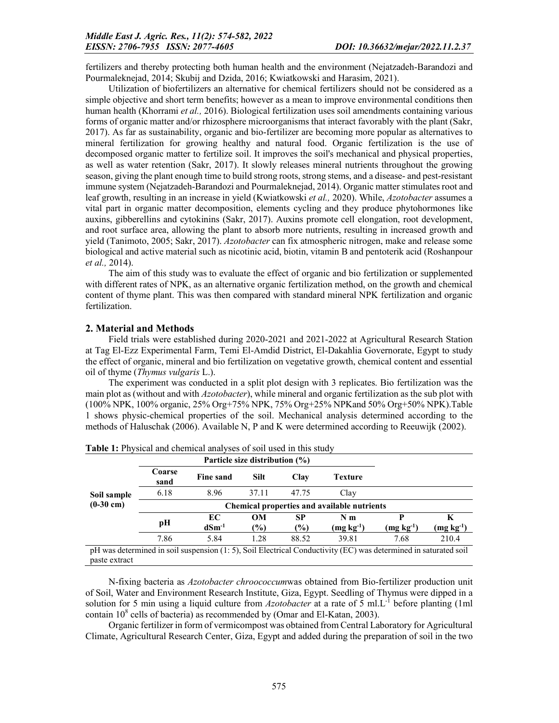fertilizers and thereby protecting both human health and the environment (Nejatzadeh-Barandozi and Pourmaleknejad, 2014; Skubij and Dzida, 2016; Kwiatkowski and Harasim, 2021).

Utilization of biofertilizers an alternative for chemical fertilizers should not be considered as a simple objective and short term benefits; however as a mean to improve environmental conditions then human health (Khorrami *et al.,* 2016). Biological fertilization uses soil amendments containing various forms of organic matter and/or rhizosphere microorganisms that interact favorably with the plant (Sakr, 2017). As far as sustainability, organic and bio-fertilizer are becoming more popular as alternatives to mineral fertilization for growing healthy and natural food. Organic fertilization is the use of decomposed organic matter to fertilize soil. It improves the soil's mechanical and physical properties, as well as water retention (Sakr, 2017). It slowly releases mineral nutrients throughout the growing season, giving the plant enough time to build strong roots, strong stems, and a disease- and pest-resistant immune system (Nejatzadeh-Barandozi and Pourmaleknejad, 2014). Organic matter stimulates root and leaf growth, resulting in an increase in yield (Kwiatkowski *et al.,* 2020). While, *Azotobacter* assumes a vital part in organic matter decomposition, elements cycling and they produce phytohormones like auxins, gibberellins and cytokinins (Sakr, 2017). Auxins promote cell elongation, root development, and root surface area, allowing the plant to absorb more nutrients, resulting in increased growth and yield (Tanimoto, 2005; Sakr, 2017). *Azotobacter* can fix atmospheric nitrogen, make and release some biological and active material such as nicotinic acid, biotin, vitamin B and pentoterik acid (Roshanpour *et al.,* 2014).

The aim of this study was to evaluate the effect of organic and bio fertilization or supplemented with different rates of NPK, as an alternative organic fertilization method, on the growth and chemical content of thyme plant. This was then compared with standard mineral NPK fertilization and organic fertilization.

### 2. Material and Methods

Field trials were established during 2020-2021 and 2021-2022 at Agricultural Research Station at Tag El-Ezz Experimental Farm, Temi El-Amdid District, El-Dakahlia Governorate, Egypt to study the effect of organic, mineral and bio fertilization on vegetative growth, chemical content and essential oil of thyme (*Thymus vulgaris* L.).

The experiment was conducted in a split plot design with 3 replicates. Bio fertilization was the main plot as (without and with *Azotobacter*), while mineral and organic fertilization as the sub plot with (100% NPK, 100% organic, 25% Org+75% NPK, 75% Org+25% NPKand 50% Org+50% NPK).Table 1 shows physic-chemical properties of the soil. Mechanical analysis determined according to the methods of Haluschak (2006). Available N, P and K were determined according to Reeuwijk (2002).

|             |                                                    | Particle size distribution (%) |               |               |             |                         |                                                   |  |  |  |
|-------------|----------------------------------------------------|--------------------------------|---------------|---------------|-------------|-------------------------|---------------------------------------------------|--|--|--|
|             | Coarse<br>sand                                     | Fine sand                      | Silt          | Clay          | Texture     |                         |                                                   |  |  |  |
| Soil sample | 6.18                                               | 8.96                           | 37.11         | 47.75         | Clay        |                         |                                                   |  |  |  |
| $(0-30$ cm) | <b>Chemical properties and available nutrients</b> |                                |               |               |             |                         |                                                   |  |  |  |
|             | pН                                                 | EC                             | <b>OM</b>     | SP            | N m         |                         | K                                                 |  |  |  |
|             |                                                    | $dSm^{-1}$                     | $\frac{1}{2}$ | $\frac{1}{2}$ | $(mg kg-1)$ | $(\textbf{mg kg}^{-1})$ | $(\mathbf{mg}\ \mathbf{k}\mathbf{g}^{\text{-1}})$ |  |  |  |
|             | 7.86                                               | 5.84                           | 1.28          | 88.52         | 39.81       | 7.68                    | 210.4                                             |  |  |  |

Table 1: Physical and chemical analyses of soil used in this study

pH was determined in soil suspension (1: 5), Soil Electrical Conductivity (EC) was determined in saturated soil paste extract

N-fixing bacteria as *Azotobacter chroococcum*was obtained from Bio-fertilizer production unit of Soil, Water and Environment Research Institute, Giza, Egypt. Seedling of Thymus were dipped in a solution for 5 min using a liquid culture from *Azotobacter* at a rate of 5 ml.L-1 before planting (1ml contain  $10^8$  cells of bacteria) as recommended by (Omar and El-Katan, 2003).

Organic fertilizer in form of vermicompost was obtained from Central Laboratory for Agricultural Climate, Agricultural Research Center, Giza, Egypt and added during the preparation of soil in the two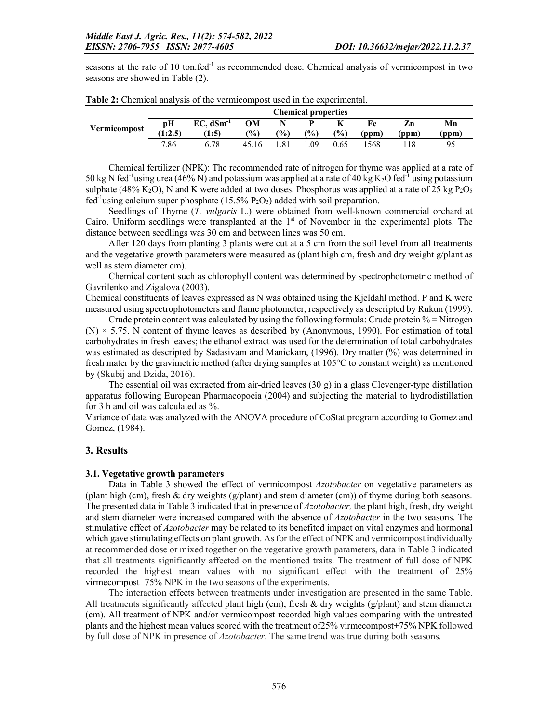seasons at the rate of 10 ton.fed<sup>-1</sup> as recommended dose. Chemical analysis of vermicompost in two seasons are showed in Table (2).

|              |               |                      |              |      | <b>Chemical properties</b> |      |             |             |            |
|--------------|---------------|----------------------|--------------|------|----------------------------|------|-------------|-------------|------------|
| Vermicompost | рH<br>(1:2.5) | $EC, dSm-1$<br>(1:5) | OМ<br>$($ %) | (%)  | P<br>$\frac{1}{2}$         | (%)  | Fe<br>(ppm) | Zn<br>(ppm) | Mn<br>(ppm |
|              | 7.86          | 6.78                 | 45.16        | l.81 | .09                        | 0.65 | 568         |             | 95         |

|  |  |  | Table 2: Chemical analysis of the vermicompost used in the experimental. |
|--|--|--|--------------------------------------------------------------------------|
|  |  |  |                                                                          |

Chemical fertilizer (NPK): The recommended rate of nitrogen for thyme was applied at a rate of 50 kg N fed<sup>-1</sup>using urea (46% N) and potassium was applied at a rate of 40 kg K<sub>2</sub>O fed<sup>-1</sup> using potassium sulphate (48% K<sub>2</sub>O), N and K were added at two doses. Phosphorus was applied at a rate of 25 kg P<sub>2</sub>O<sub>5</sub> fed<sup>-1</sup>using calcium super phosphate (15.5%  $P_2O_5$ ) added with soil preparation.

Seedlings of Thyme (*T. vulgaris* L.) were obtained from well-known commercial orchard at Cairo. Uniform seedlings were transplanted at the 1<sup>st</sup> of November in the experimental plots. The distance between seedlings was 30 cm and between lines was 50 cm.

After 120 days from planting 3 plants were cut at a 5 cm from the soil level from all treatments and the vegetative growth parameters were measured as (plant high cm, fresh and dry weight g/plant as well as stem diameter cm).

Chemical content such as chlorophyll content was determined by spectrophotometric method of Gavrilenko and Zigalova (2003).

Chemical constituents of leaves expressed as N was obtained using the Kjeldahl method. P and K were measured using spectrophotometers and flame photometer, respectively as descripted by Rukun (1999).

Crude protein content was calculated by using the following formula: Crude protein  $% =$  Nitrogen  $(N) \times 5.75$ . N content of thyme leaves as described by (Anonymous, 1990). For estimation of total carbohydrates in fresh leaves; the ethanol extract was used for the determination of total carbohydrates was estimated as descripted by Sadasivam and Manickam, (1996). Dry matter (%) was determined in fresh mater by the gravimetric method (after drying samples at 105°C to constant weight) as mentioned by (Skubij and Dzida, 2016).

The essential oil was extracted from air-dried leaves  $(30 \text{ g})$  in a glass Clevenger-type distillation apparatus following European Pharmacopoeia (2004) and subjecting the material to hydrodistillation for 3 h and oil was calculated as %.

Variance of data was analyzed with the ANOVA procedure of CoStat program according to Gomez and Gomez, (1984).

### 3. Results

#### 3.1. Vegetative growth parameters

Data in Table 3 showed the effect of vermicompost *Azotobacter* on vegetative parameters as (plant high (cm), fresh & dry weights ( $g$ /plant) and stem diameter (cm)) of thyme during both seasons. The presented data in Table 3 indicated that in presence of *Azotobacter,* the plant high, fresh, dry weight and stem diameter were increased compared with the absence of *Azotobacter* in the two seasons. The stimulative effect of *Azotobacter* may be related to its benefited impact on vital enzymes and hormonal which gave stimulating effects on plant growth. As for the effect of NPK and vermicompost individually at recommended dose or mixed together on the vegetative growth parameters, data in Table 3 indicated that all treatments significantly affected on the mentioned traits. The treatment of full dose of NPK recorded the highest mean values with no significant effect with the treatment of 25% virmecompost+75% NPK in the two seasons of the experiments.

The interaction effects between treatments under investigation are presented in the same Table. All treatments significantly affected plant high (cm), fresh  $\&$  dry weights (g/plant) and stem diameter (cm). All treatment of NPK and/or vermicompost recorded high values comparing with the untreated plants and the highest mean values scored with the treatment of25% virmecompost+75% NPK followed by full dose of NPK in presence of *Azotobacter*. The same trend was true during both seasons.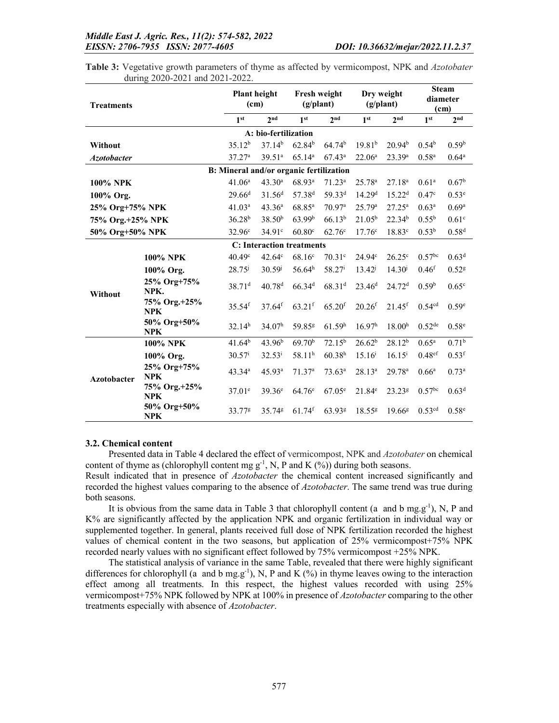| <b>Treatments</b>  |                            |                                         | <b>Plant height</b><br>(c <sub>m</sub> ) |                      | Fresh weight<br>(g/plant) |                      | Dry weight<br>(g/plant) |                    | <b>Steam</b><br>diameter<br>(cm) |  |
|--------------------|----------------------------|-----------------------------------------|------------------------------------------|----------------------|---------------------------|----------------------|-------------------------|--------------------|----------------------------------|--|
|                    |                            | 1 <sup>st</sup>                         | 2 <sub>nd</sub>                          | 1 <sup>st</sup>      | 2 <sub>nd</sub>           | 1 <sup>st</sup>      | 2 <sup>nd</sup>         | 1 <sup>st</sup>    | 2 <sub>nd</sub>                  |  |
|                    |                            |                                         | A: bio-fertilization                     |                      |                           |                      |                         |                    |                                  |  |
| Without            |                            | 35.12 <sup>b</sup>                      | 37.14 <sup>b</sup>                       | 62.84 <sup>b</sup>   | 64.74 <sup>b</sup>        | 19.81 <sup>b</sup>   | 20.94 <sup>b</sup>      | 0.54 <sup>b</sup>  | 0.59 <sup>b</sup>                |  |
| <b>Azotobacter</b> |                            | 37.27 <sup>a</sup>                      | 39.51 <sup>a</sup>                       | 65.14 <sup>a</sup>   | $67.43^a$                 | 22.06 <sup>a</sup>   | 23.39 <sup>a</sup>      | 0.58 <sup>a</sup>  | $0.64^{\rm a}$                   |  |
|                    |                            | B: Mineral and/or organic fertilization |                                          |                      |                           |                      |                         |                    |                                  |  |
| <b>100% NPK</b>    |                            | 41.06 <sup>a</sup>                      | $43.30^a$                                | 68.93 <sup>a</sup>   | $71.23^a$                 | 25.78 <sup>a</sup>   | 27.18 <sup>a</sup>      | 0.61 <sup>a</sup>  | 0.67 <sup>b</sup>                |  |
| 100% Org.          |                            | $29.66^{\rm d}$                         | 31.56 <sup>d</sup>                       | 57.38 <sup>d</sup>   | 59.33 <sup>d</sup>        | 14.29 <sup>d</sup>   | $15.22^d$               | 0.47 <sup>c</sup>  | 0.53 <sup>e</sup>                |  |
| 25% Org+75% NPK    |                            | 41.03 <sup>a</sup>                      | 43.36 <sup>a</sup>                       | $68.85^{a}$          | 70.97a                    | 25.79 <sup>a</sup>   | $27.25^a$               | $0.63^{\rm a}$     | 0.69 <sup>a</sup>                |  |
| 75% Org.+25% NPK   |                            | $36.28^{b}$                             | 38.50 <sup>b</sup>                       | 63.99 <sup>b</sup>   | $66.13^{b}$               | $21.05^{b}$          | $22.34^{b}$             | $0.55^{b}$         | 0.61 <sup>c</sup>                |  |
| 50% Org+50% NPK    |                            | 32.96 <sup>c</sup>                      | $34.91^{\circ}$                          | 60.80 <sup>c</sup>   | $62.76^{\circ}$           | $17.76^{\circ}$      | $18.83^{\circ}$         | $0.53^{b}$         | 0.58 <sup>d</sup>                |  |
|                    |                            |                                         | <b>C:</b> Interaction treatments         |                      |                           |                      |                         |                    |                                  |  |
|                    | <b>100% NPK</b>            | 40.49c                                  | 42.64c                                   | 68.16 <sup>c</sup>   | 70.31 <sup>c</sup>        | 24.94c               | $26.25^{\circ}$         | $0.57^{bc}$        | 0.63 <sup>d</sup>                |  |
|                    | 100% Org.                  | $28.75^{j}$                             | $30.59^{j}$                              | 56.64 <sup>h</sup>   | 58.27 <sup>i</sup>        | $13.42^{j}$          | $14.30^{j}$             | 0.46 <sup>f</sup>  | $0.52$ <sup>g</sup>              |  |
| Without            | 25% Org+75%<br>NPK.        | $38.71$ <sup>d</sup>                    | $40.78$ <sup>d</sup>                     | $66.34^{d}$          | 68.31 <sup>d</sup>        | 23.46 <sup>d</sup>   | 24.72 <sup>d</sup>      | 0.59 <sup>b</sup>  | 0.65 <sup>c</sup>                |  |
|                    | 75% Org.+25%<br><b>NPK</b> | $35.54$ <sup>f</sup>                    | $37.64$ <sup>f</sup>                     | $63.21$ <sup>f</sup> | $65.20$ <sup>f</sup>      | $20.26$ <sup>f</sup> | $21.45$ <sup>f</sup>    | $0.54^{cd}$        | 0.59 <sup>e</sup>                |  |
|                    | 50% Org+50%<br><b>NPK</b>  | 32.14 <sup>h</sup>                      | 34.07 <sup>h</sup>                       | 59.85 <sup>g</sup>   | 61.59 <sup>h</sup>        | 16.97 <sup>h</sup>   | 18.00 <sup>h</sup>      | $0.52^{de}$        | $0.58^{\text{e}}$                |  |
|                    | <b>100% NPK</b>            | 41.64 <sup>b</sup>                      | 43.96 <sup>b</sup>                       | 69.70 <sup>b</sup>   | $72.15^b$                 | 26.62 <sup>b</sup>   | $28.12^{b}$             | $0.65^{\rm a}$     | 0.71 <sup>b</sup>                |  |
|                    | 100% Org.                  | $30.57^{\rm i}$                         | $32.53^{\rm i}$                          | 58.11 <sup>h</sup>   | 60.38 <sup>h</sup>        | $15.16^{i}$          | $16.15^{i}$             | 0.48 <sup>ef</sup> | $0.53$ <sup>f</sup>              |  |
| <b>Azotobacter</b> | 25% Org+75%<br><b>NPK</b>  | 43.34 <sup>a</sup>                      | 45.93ª                                   | 71.37 <sup>a</sup>   | $73.63^{a}$               | $28.13^{a}$          | 29.78 <sup>a</sup>      | 0.66 <sup>a</sup>  | $0.73^{a}$                       |  |
|                    | 75% Org.+25%<br><b>NPK</b> | 37.01 <sup>e</sup>                      | 39.36 <sup>e</sup>                       | 64.76 <sup>e</sup>   | $67.05^e$                 | 21.84 <sup>e</sup>   | 23.23 <sup>g</sup>      | $0.57^{bc}$        | 0.63 <sup>d</sup>                |  |
|                    | 50% Org+50%<br><b>NPK</b>  | 33.77 <sup>g</sup>                      | 35.748                                   | $61.74$ <sup>f</sup> | 63.938                    | 18.558               | 19.66 <sup>g</sup>      | $0.53^{cd}$        | 0.58 <sup>e</sup>                |  |

Table 3: Vegetative growth parameters of thyme as affected by vermicompost, NPK and *Azotobater* during 2020-2021 and 2021-2022.

#### 3.2. Chemical content

Presented data in Table 4 declared the effect of vermicompost, NPK and *Azotobater* on chemical content of thyme as (chlorophyll content mg  $g^{-1}$ , N, P and K (%)) during both seasons.

Result indicated that in presence of *Azotobacter* the chemical content increased significantly and recorded the highest values comparing to the absence of *Azotobacter*. The same trend was true during both seasons.

It is obvious from the same data in Table 3 that chlorophyll content (a and b mg.g<sup>-1</sup>), N, P and K% are significantly affected by the application NPK and organic fertilization in individual way or supplemented together. In general, plants received full dose of NPK fertilization recorded the highest values of chemical content in the two seasons, but application of 25% vermicompost+75% NPK recorded nearly values with no significant effect followed by 75% vermicompost +25% NPK.

The statistical analysis of variance in the same Table, revealed that there were highly significant differences for chlorophyll (a and b mg.g<sup>-1</sup>), N, P and K (%) in thyme leaves owing to the interaction effect among all treatments. In this respect, the highest values recorded with using 25% vermicompost+75% NPK followed by NPK at 100% in presence of *Azotobacter* comparing to the other treatments especially with absence of *Azotobacter*.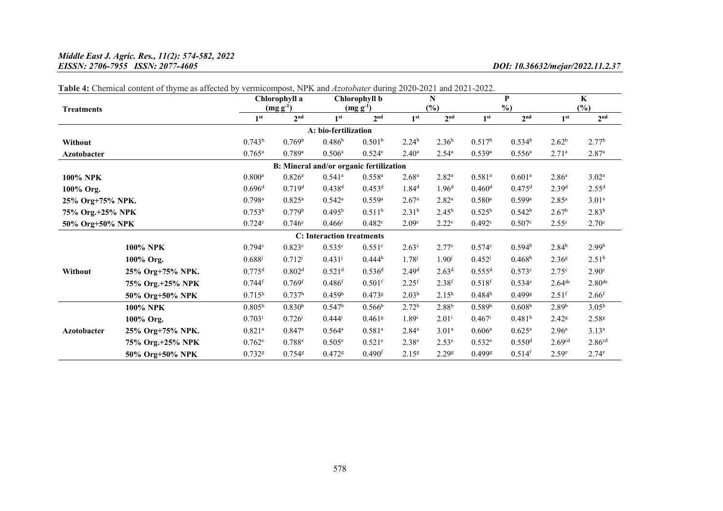### *Middle East J. Agric. Res., 11(2): 574-582, 2022 EISSN: 2706-7955 ISSN: 2077-4605 DOI: 10.36632/mejar/2022.11.2.37*

|                    |                  |                      | Chlorophyll a        |                                         | Chlorophyll b        |                   | N                 |                      | P                    |                      | $\mathbf K$        |
|--------------------|------------------|----------------------|----------------------|-----------------------------------------|----------------------|-------------------|-------------------|----------------------|----------------------|----------------------|--------------------|
| <b>Treatments</b>  |                  |                      | $(mg g^{-1})$        |                                         | $(mg g^{-1})$        |                   | (%)               | $\%$ )               |                      | $(\%)$               |                    |
|                    |                  | 1 <sup>st</sup>      | 2 <sub>nd</sub>      | 1 <sup>st</sup>                         | 2 <sup>nd</sup>      | 1 <sup>st</sup>   | 2 <sub>nd</sub>   | 1 <sup>st</sup>      | 2 <sup>nd</sup>      | 1 <sup>st</sup>      | 2 <sup>nd</sup>    |
|                    |                  |                      |                      | A: bio-fertilization                    |                      |                   |                   |                      |                      |                      |                    |
| Without            |                  | $0.743^b$            | 0.769 <sup>b</sup>   | 0.486 <sup>b</sup>                      | 0.501 <sup>b</sup>   | 2.24 <sup>b</sup> | $2.36^{b}$        | $0.517^b$            | $0.534^{b}$          | $2.62^b$             | 2.77 <sup>b</sup>  |
| <b>Azotobacter</b> |                  | $0.765^{\rm a}$      | $0.789$ <sup>a</sup> | 0.506 <sup>a</sup>                      | $0.524^e$            | $2.40^{\rm a}$    | $2.54^{\circ}$    | $0.539$ <sup>a</sup> | $0.556^{\rm a}$      | $2.71^{\circ}$       | 2.87 <sup>a</sup>  |
|                    |                  |                      |                      | B: Mineral and/or organic fertilization |                      |                   |                   |                      |                      |                      |                    |
| <b>100% NPK</b>    |                  | $0.800$ <sup>a</sup> | 0.826 <sup>a</sup>   | $0.541$ <sup>a</sup>                    | $0.558^{a}$          | 2.68 <sup>a</sup> | $2.82^{a}$        | $0.581^{a}$          | 0.601 <sup>a</sup>   | 2.86 <sup>a</sup>    | $3.02^{\rm a}$     |
| 100% Org.          |                  | 0.696 <sup>d</sup>   | 0.719 <sup>d</sup>   | 0.438 <sup>d</sup>                      | 0.453 <sup>d</sup>   | 1.84 <sup>d</sup> | 1.96 <sup>d</sup> | 0.460 <sup>d</sup>   | 0.475 <sup>d</sup>   | 2.39 <sup>d</sup>    | 2.55 <sup>d</sup>  |
| 25% Org+75% NPK.   |                  | $0.798$ <sup>a</sup> | $0.825^{\rm a}$      | $0.542^a$                               | $0.559^{a}$          | 2.67 <sup>a</sup> | $2.82^{a}$        | $0.580$ <sup>a</sup> | $0.599$ <sup>a</sup> | $2.85^{a}$           | 3.01 <sup>a</sup>  |
| 75% Org.+25% NPK   |                  | $0.753^b$            | 0.779 <sup>b</sup>   | $0.495^{\rm b}$                         | 0.511 <sup>b</sup>   | 2.31 <sup>b</sup> | $2.45^{b}$        | $0.525^{b}$          | $0.542^b$            | 2.67 <sup>b</sup>    | $2.83^{b}$         |
| 50% Org+50% NPK    |                  | 0.724c               | 0.746c               | 0.466c                                  | 0.482c               | 2.09 <sup>c</sup> | $2.22^{\circ}$    | 0.492c               | 0.507c               | 2.55 <sup>c</sup>    | 2.70 <sup>c</sup>  |
|                    |                  |                      |                      | <b>C:</b> Interaction treatments        |                      |                   |                   |                      |                      |                      |                    |
|                    | <b>100% NPK</b>  | 0.794c               | 0.823c               | 0.535c                                  | 0.551c               | 2.63 <sup>c</sup> | 2.77c             | 0.574c               | 0.594 <sup>b</sup>   | 2.84 <sup>b</sup>    | 2.99 <sup>b</sup>  |
|                    | 100% Org.        | $0.688^{j}$          | $0.712^{j}$          | $0.431^{j}$                             | $0.444^h$            | $1.78^{j}$        | $1.90^{j}$        | $0.452^{j}$          | 0.468 <sup>h</sup>   | 2.36 <sup>8</sup>    | 2.51 <sup>h</sup>  |
| Without            | 25% Org+75% NPK. | 0.775 <sup>d</sup>   | 0.802 <sup>d</sup>   | 0.521 <sup>d</sup>                      | 0.536 <sup>d</sup>   | 2.49 <sup>d</sup> | 2.63 <sup>d</sup> | 0.555 <sup>d</sup>   | 0.573c               | 2.75 <sup>c</sup>    | 2.90 <sup>c</sup>  |
|                    | 75% Org.+25% NPK | $0.744$ f            | $0.769$ f            | $0.486$ f                               | $0.501$ f            | $2.25$ f          | $2.38$ f          | $0.518$ <sup>f</sup> | 0.534e               | $2.64$ <sup>de</sup> | 2.80 <sup>de</sup> |
|                    | 50% Org+50% NPK  | $0.715^h$            | 0.737 <sup>h</sup>   | 0.459 <sup>h</sup>                      | $0.473$ <sup>g</sup> | 2.03 <sup>h</sup> | $2.15^h$          | 0.484 <sup>h</sup>   | $0.499$ <sup>g</sup> | $2.51^{f}$           | 2.66 <sup>f</sup>  |
|                    | <b>100% NPK</b>  | $0.805^{\rm b}$      | 0.830 <sup>b</sup>   | $0.547^b$                               | $0.566^{\rm b}$      | 2.72 <sup>b</sup> | $2.88^{b}$        | 0.589 <sup>b</sup>   | 0.608 <sup>b</sup>   | 2.89 <sup>b</sup>    | $3.05^{b}$         |
|                    | 100% Org.        | $0.703^{i}$          | $0.726^{i}$          | $0.444^{i}$                             | $0.461$ <sup>g</sup> | $1.89^{i}$        | $2.01^{i}$        | $0.467$ <sup>i</sup> | 0.481 <sup>h</sup>   | 2.42 <sup>g</sup>    | 2.588              |
| <b>Azotobacter</b> | 25% Org+75% NPK. | $0.821$ <sup>a</sup> | $0.847$ <sup>a</sup> | 0.564a                                  | $0.581$ <sup>a</sup> | 2.84 <sup>a</sup> | 3.01 <sup>a</sup> | 0.606 <sup>a</sup>   | $0.625^{\rm a}$      | 2.96 <sup>a</sup>    | $3.13^{a}$         |
|                    | 75% Org.+25% NPK | 0.762e               | 0.788e               | 0.505e                                  | $0.521$ <sup>e</sup> | $2.38^e$          | 2.53 <sup>e</sup> | 0.532e               | 0.550 <sup>d</sup>   | 2.69 <sup>cd</sup>   | 2.86 <sup>cd</sup> |
|                    | 50% Org+50% NPK  | $0.732$ <sup>g</sup> | $0.754$ <sup>g</sup> | $0.472$ <sup>g</sup>                    | 0.490 <sup>f</sup>   | 2.15 <sup>g</sup> | 2.29 <sup>g</sup> | $0.499$ <sup>g</sup> | $0.514$ <sup>f</sup> | 2.59 <sup>e</sup>    | $2.74^e$           |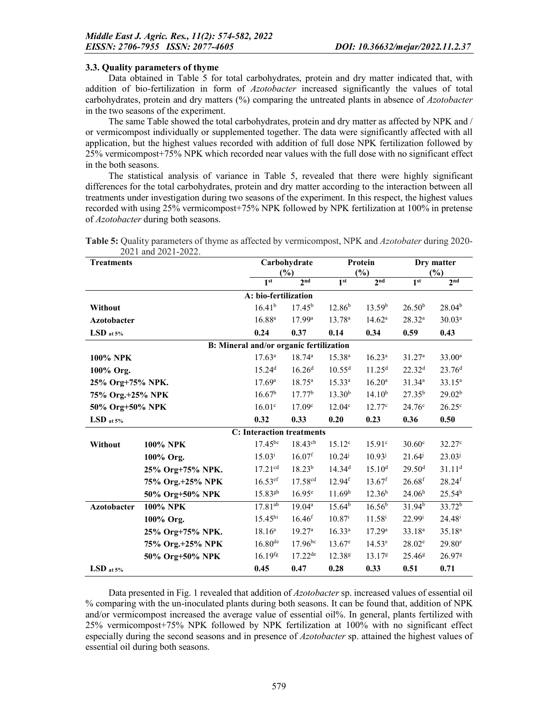#### 3.3. Quality parameters of thyme

Data obtained in Table 5 for total carbohydrates, protein and dry matter indicated that, with addition of bio-fertilization in form of *Azotobacter* increased significantly the values of total carbohydrates, protein and dry matters (%) comparing the untreated plants in absence of *Azotobacter* in the two seasons of the experiment.

The same Table showed the total carbohydrates, protein and dry matter as affected by NPK and / or vermicompost individually or supplemented together. The data were significantly affected with all application, but the highest values recorded with addition of full dose NPK fertilization followed by 25% vermicompost+75% NPK which recorded near values with the full dose with no significant effect in the both seasons.

The statistical analysis of variance in Table 5, revealed that there were highly significant differences for the total carbohydrates, protein and dry matter according to the interaction between all treatments under investigation during two seasons of the experiment. In this respect, the highest values recorded with using 25% vermicompost+75% NPK followed by NPK fertilization at 100% in pretense of *Azotobacter* during both seasons.

| <b>Treatments</b>    | $2021$ and $2021$ - $2022$ . |                                         | Carbohydrate<br>(%)  |                    | Protein<br>(%)       | Dry matter<br>$(\%)$ |                      |  |
|----------------------|------------------------------|-----------------------------------------|----------------------|--------------------|----------------------|----------------------|----------------------|--|
|                      |                              | 1 <sup>st</sup>                         | 2 <sup>nd</sup>      | 1 <sup>st</sup>    | 2 <sub>nd</sub>      | 1 <sup>st</sup>      | 2 <sup>nd</sup>      |  |
|                      |                              | A: bio-fertilization                    |                      |                    |                      |                      |                      |  |
| Without              |                              | $16.41^{b}$                             | $17.45^{\rm b}$      | 12.86 <sup>b</sup> | 13.59 <sup>b</sup>   | 26.50 <sup>b</sup>   | $28.04^{b}$          |  |
| <b>Azotobacter</b>   |                              | $16.88^{a}$                             | 17.99a               | 13.78 <sup>a</sup> | 14.62 <sup>a</sup>   | $28.32^{a}$          | $30.03^{a}$          |  |
| $\mathrm{LSD}$ at 5% |                              | 0.24                                    | 0.37                 | 0.14               | 0.34                 | 0.59                 | 0.43                 |  |
|                      |                              | B: Mineral and/or organic fertilization |                      |                    |                      |                      |                      |  |
| 100% NPK             |                              | $17.63^a$                               | $18.74^{\rm a}$      | $15.38^{a}$        | $16.23^a$            | 31.27 <sup>a</sup>   | $33.00^a$            |  |
| 100% Org.            |                              | 15.24 <sup>d</sup>                      | 16.26 <sup>d</sup>   | $10.55^d$          | 11.25 <sup>d</sup>   | 22.32 <sup>d</sup>   | 23.76 <sup>d</sup>   |  |
| 25% Org+75% NPK.     | 17.69 <sup>a</sup>           | $18.75^{\rm a}$                         | $15.33^{a}$          | $16.20^{\rm a}$    | $31.34^{a}$          | $33.15^{a}$          |                      |  |
| 75% Org.+25% NPK     | 16.67 <sup>b</sup>           | 17.77 <sup>b</sup>                      | $13.30^{b}$          | $14.10^{b}$        | $27.35^{b}$          | 29.02 <sup>b</sup>   |                      |  |
| 50% Org+50% NPK      | 16.01c                       | 17.09c                                  | 12.04c               | 12.77c             | 24.76c               | $26.25^{\circ}$      |                      |  |
| $\mathrm{LSD}$ at 5% |                              | 0.32                                    | 0.33                 | 0.20               | 0.23                 | 0.36                 | 0.50                 |  |
|                      |                              | <b>C:</b> Interaction treatments        |                      |                    |                      |                      |                      |  |
| Without              | 100% NPK                     | $17.45^{bc}$                            | $18.43^{cb}$         | $15.12^c$          | 15.91 <sup>c</sup>   | $30.60^\circ$        | $32.27^{\circ}$      |  |
|                      | 100% Org.                    | $15.03^{i}$                             | $16.07$ <sup>f</sup> | $10.24^{j}$        | $10.93^{j}$          | $21.64^{j}$          | $23.03^{j}$          |  |
|                      | 25% Org+75% NPK.             | $17.21^{cd}$                            | $18.23^{b}$          | 14.34 <sup>d</sup> | $15.10^{d}$          | 29.50 <sup>d</sup>   | $31.11^{d}$          |  |
|                      | 75% Org.+25% NPK             | $16.53$ <sup>ef</sup>                   | 17.58 <sup>cd</sup>  | 12.94 <sup>f</sup> | $13.67$ <sup>f</sup> | $26.68$ <sup>f</sup> | $28.24$ <sup>f</sup> |  |
|                      | 50% Org+50% NPK              | $15.83^{gh}$                            | $16.95^e$            | 11.69 <sup>h</sup> | 12.36 <sup>h</sup>   | 24.06 <sup>h</sup>   | 25.54 <sup>h</sup>   |  |
| <b>Azotobacter</b>   | <b>100% NPK</b>              | $17.81^{ab}$                            | 19.04a               | 15.64 <sup>b</sup> | 16.56 <sup>b</sup>   | 31.94 <sup>b</sup>   | 33.72 <sup>b</sup>   |  |
|                      | 100% Org.                    | 15.45 <sup>hi</sup>                     | $16.46^{f}$          | $10.87^{i}$        | $11.58^{i}$          | $22.99^{i}$          | $24.48^{i}$          |  |
|                      | 25% Org+75% NPK.             | $18.16^a$                               | 19.27 <sup>a</sup>   | $16.33^{a}$        | 17.29a               | 33.18 <sup>a</sup>   | $35.18^{a}$          |  |
|                      | 75% Org.+25% NPK             | $16.80^{de}$                            | $17.96^{bc}$         | $13.67^e$          | $14.53^e$            | $28.02^e$            | $29.80^{\circ}$      |  |
|                      | 50% Org+50% NPK              | $16.19$ <sup>fg</sup>                   | $17.22^{de}$         | 12.38 <sup>g</sup> | 13.17 <sup>g</sup>   | 25.46 <sup>g</sup>   | 26.97 <sup>g</sup>   |  |
| $\mathrm{LSD}$ at 5% |                              | 0.45                                    | 0.47                 | 0.28               | 0.33                 | 0.51                 | 0.71                 |  |

Table 5: Quality parameters of thyme as affected by vermicompost, NPK and *Azotobater* during 2020- 2021 and 2021-2022.

Data presented in Fig. 1 revealed that addition of *Azotobacter* sp. increased values of essential oil % comparing with the un-inoculated plants during both seasons. It can be found that, addition of NPK and/or vermicompost increased the average value of essential oil%. In general, plants fertilized with 25% vermicompost+75% NPK followed by NPK fertilization at 100% with no significant effect especially during the second seasons and in presence of *Azotobacter* sp. attained the highest values of essential oil during both seasons.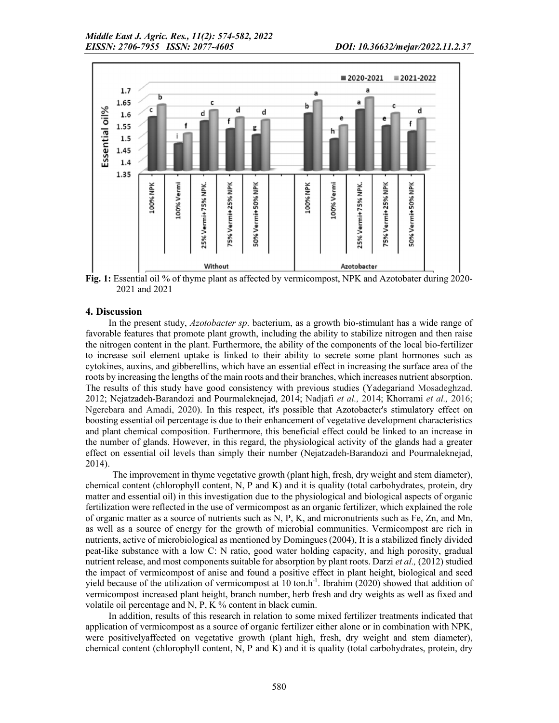

Fig. 1: Essential oil % of thyme plant as affected by vermicompost, NPK and Azotobater during 2020-2021 and 2021

### 4. Discussion

In the present study, *Azotobacter sp*. bacterium, as a growth bio-stimulant has a wide range of favorable features that promote plant growth, including the ability to stabilize nitrogen and then raise the nitrogen content in the plant. Furthermore, the ability of the components of the local bio-fertilizer to increase soil element uptake is linked to their ability to secrete some plant hormones such as cytokines, auxins, and gibberellins, which have an essential effect in increasing the surface area of the roots by increasing the lengths of the main roots and their branches, which increases nutrient absorption. The results of this study have good consistency with previous studies (Yadegariand Mosadeghzad. 2012; Nejatzadeh-Barandozi and Pourmaleknejad, 2014; Nadjafi *et al.,* 2014; Khorrami *et al.,* 2016; Ngerebara and Amadi, 2020). In this respect, it's possible that Azotobacter's stimulatory effect on boosting essential oil percentage is due to their enhancement of vegetative development characteristics and plant chemical composition. Furthermore, this beneficial effect could be linked to an increase in the number of glands. However, in this regard, the physiological activity of the glands had a greater effect on essential oil levels than simply their number (Nejatzadeh-Barandozi and Pourmaleknejad, 2014).

The improvement in thyme vegetative growth (plant high, fresh, dry weight and stem diameter), chemical content (chlorophyll content, N, P and K) and it is quality (total carbohydrates, protein, dry matter and essential oil) in this investigation due to the physiological and biological aspects of organic fertilization were reflected in the use of vermicompost as an organic fertilizer, which explained the role of organic matter as a source of nutrients such as N, P, K, and micronutrients such as Fe, Zn, and Mn, as well as a source of energy for the growth of microbial communities. Vermicompost are rich in nutrients, active of microbiological as mentioned by Domingues (2004), It is a stabilized finely divided peat-like substance with a low C: N ratio, good water holding capacity, and high porosity, gradual nutrient release, and most components suitable for absorption by plant roots. Darzi *et al.,* (2012) studied the impact of vermicompost of anise and found a positive effect in plant height, biological and seed yield because of the utilization of vermicompost at 10 ton.h<sup>-1</sup>. Ibrahim (2020) showed that addition of vermicompost increased plant height, branch number, herb fresh and dry weights as well as fixed and volatile oil percentage and N, P, K % content in black cumin.

In addition, results of this research in relation to some mixed fertilizer treatments indicated that application of vermicompost as a source of organic fertilizer either alone or in combination with NPK, were positivelyaffected on vegetative growth (plant high, fresh, dry weight and stem diameter), chemical content (chlorophyll content, N, P and K) and it is quality (total carbohydrates, protein, dry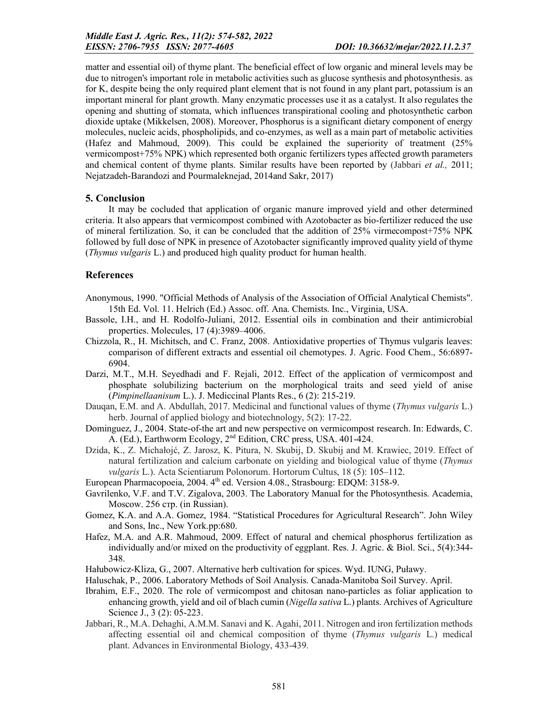matter and essential oil) of thyme plant. The beneficial effect of low organic and mineral levels may be due to nitrogen's important role in metabolic activities such as glucose synthesis and photosynthesis. as for K, despite being the only required plant element that is not found in any plant part, potassium is an important mineral for plant growth. Many enzymatic processes use it as a catalyst. It also regulates the opening and shutting of stomata, which influences transpirational cooling and photosynthetic carbon dioxide uptake (Mikkelsen, 2008). Moreover, Phosphorus is a significant dietary component of energy molecules, nucleic acids, phospholipids, and co-enzymes, as well as a main part of metabolic activities (Hafez and Mahmoud, 2009). This could be explained the superiority of treatment (25% vermicompost+75% NPK) which represented both organic fertilizers types affected growth parameters and chemical content of thyme plants. Similar results have been reported by (Jabbari *et al.,* 2011; Nejatzadeh-Barandozi and Pourmaleknejad, 2014and Sakr, 2017)

### 5. Conclusion

It may be cocluded that application of organic manure improved yield and other determined criteria. It also appears that vermicompost combined with Azotobacter as bio-fertilizer reduced the use of mineral fertilization. So, it can be concluded that the addition of 25% virmecompost+75% NPK followed by full dose of NPK in presence of Azotobacter significantly improved quality yield of thyme (*Thymus vulgaris* L.) and produced high quality product for human health.

# References

- Anonymous, 1990. "Official Methods of Analysis of the Association of Official Analytical Chemists". 15th Ed. Vol. 11. Helrich (Ed.) Assoc. off. Ana. Chemists. Inc., Virginia, USA.
- Bassole, I.H., and H. Rodolfo-Juliani, 2012. Essential oils in combination and their antimicrobial properties. Molecules, 17 (4):3989–4006.
- Chizzola, R., H. Michitsch, and C. Franz, 2008. Antioxidative properties of Thymus vulgaris leaves: comparison of different extracts and essential oil chemotypes. J. Agric. Food Chem., 56:6897- 6904.
- Darzi, M.T., M.H. Seyedhadi and F. Rejali, 2012. Effect of the application of vermicompost and phosphate solubilizing bacterium on the morphological traits and seed yield of anise (*Pimpinellaanisum* L.). J. Mediccinal Plants Res., 6 (2): 215-219.
- Dauqan, E.M. and A. Abdullah, 2017. Medicinal and functional values of thyme (*Thymus vulgaris* L.) herb. Journal of applied biology and biotechnology, 5(2): 17-22.
- Dominguez, J., 2004. State-of-the art and new perspective on vermicompost research. In: Edwards, C. A. (Ed.), Earthworm Ecology, 2nd Edition, CRC press, USA. 401-424.
- Dzida, K., Z. Michałojć, Z. Jarosz, K. Pitura, N. Skubij, D. Skubij and M. Krawiec, 2019. Effect of natural fertilization and calcium carbonate on yielding and biological value of thyme (*Thymus vulgaris* L.). Acta Scientiarum Polonorum. Hortorum Cultus, 18 (5): 105–112.
- European Pharmacopoeia, 2004. 4<sup>th</sup> ed. Version 4.08., Strasbourg: EDQM: 3158-9.
- Gavrilenko, V.F. and T.V. Zigalova, 2003. The Laboratory Manual for the Photosynthesis. Academia, Moscow. 256 стр. (in Russian).
- Gomez, K.A. and A.A. Gomez, 1984. "Statistical Procedures for Agricultural Research". John Wiley and Sons, Inc., New York.pp:680.
- Hafez, M.A. and A.R. Mahmoud, 2009. Effect of natural and chemical phosphorus fertilization as individually and/or mixed on the productivity of eggplant. Res. J. Agric. & Biol. Sci., 5(4):344- 348.
- Hałubowicz-Kliza, G., 2007. Alternative herb cultivation for spices. Wyd. IUNG, Puławy.
- Haluschak, P., 2006. Laboratory Methods of Soil Analysis. Canada-Manitoba Soil Survey. April.
- Ibrahim, E.F., 2020. The role of vermicompost and chitosan nano-particles as foliar application to enhancing growth, yield and oil of blach cumin (*Nigella sativa* L.) plants. Archives of Agriculture Science J., 3 (2): 05-223.
- Jabbari, R., M.A. Dehaghi, A.M.M. Sanavi and K. Agahi, 2011. Nitrogen and iron fertilization methods affecting essential oil and chemical composition of thyme (*Thymus vulgaris* L.) medical plant. Advances in Environmental Biology, 433-439.